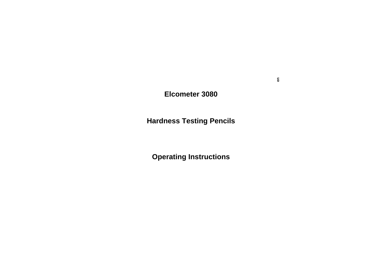# **Elcometer 3080**

# **Hardness Testing Pencils**

# **Operating Instructions**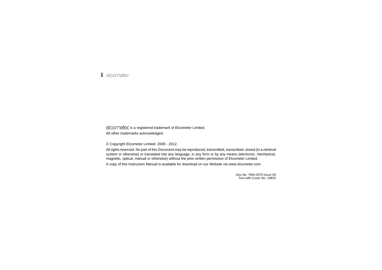elcometer is a registered trademark of Elcometer Limited.

All other trademarks acknowledged.

© Copyright Elcometer Limited. 2009 - 2012.

All rights reserved. No part of this Document may be reproduced, transmitted, transcribed, stored (in a retrieval system or otherwise) or translated into any language, in any form or by any means (electronic, mechanical, magnetic, optical, manual or otherwise) without the prior written permission of Elcometer Limited.

A copy of this Instruction Manual is available for download on our Website via www.elcometer.com.

*Doc.No. TMA-0370 Issue 04Text with Cover No: 19810*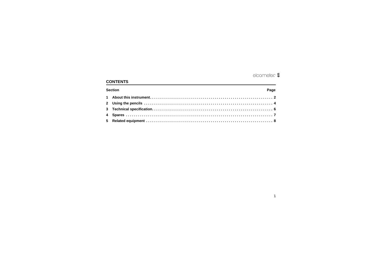# elcometer  $\epsilon$

# **CONTENTS**

| <b>Section</b> | Page |  |  |  |  |
|----------------|------|--|--|--|--|
|                |      |  |  |  |  |
|                |      |  |  |  |  |
|                |      |  |  |  |  |
|                |      |  |  |  |  |
|                |      |  |  |  |  |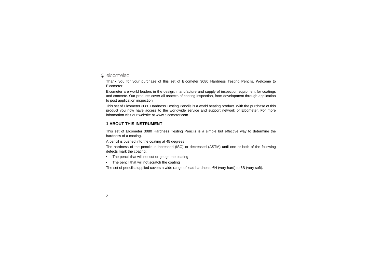#### elcometer **en**

Thank you for your purchase of this set of Elcometer 3080 Hardness Testing Pencils. Welcome to Elcometer.

Elcometer are world leaders in the design, manufacture and supply of inspection equipment for coatings and concrete. Our products cover all aspects of coating inspection, from development through application to post application inspection.

This set of Elcometer 3080 Hardness Testing Pencils is a world beating product. With the purchase of this product you now have access to the worldwide service and support network of Elcometer. For more information visit our website at [www.elcometer.com](http://www.elcometer.com)

# <span id="page-3-0"></span>**1 ABOUT THIS INSTRUMENT**

This set of Elcometer 3080 Hardness Testing Pencils is a simple but effective way to determine the hardness of a coating.

A pencil is pushed into the coating at 45 degrees.

The hardness of the pencils is increased (ISO) or decreased (ASTM) until one or both of the following defects mark the coating:

- •The pencil that will not cut or gouge the coating
- •The pencil that will not scratch the coating

The set of pencils supplied covers a wide range of lead hardness; 6H (very hard) to 6B (very soft).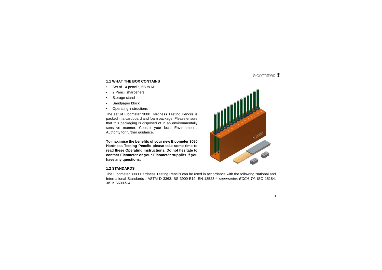# R**en**

## **1.1 WHAT THE BOX CONTAINS**

- •Set of 14 pencils, 6B to 6H
- •2 Pencil sharpeners
- •Storage stand
- •Sandpaper block
- •Operating instructions

The set of Elcometer 3080 Hardness Testing Pencils is packed in a cardboard and foam package. Please ensure that this packaging is disposed of in an environmentally sensitive manner. Consult your local Environmental Authority for further guidance.

**To maximise the benefits of your new Elcometer 3080 Hardness Testing Pencils please take some time to read these Operating Instructions. Do not hesitate to contact Elcometer or your Elcometer supplier if you have any questions.**



#### **1.2 STANDARDS**

The Elcometer 3080 Hardness Testing Pencils can be used in accordance with the following National and International Standards : ASTM D 3363, BS 3900-E19, EN 13523-4 *supersedes ECCA T4,* ISO 15184*,* JIS K 5600-5-4.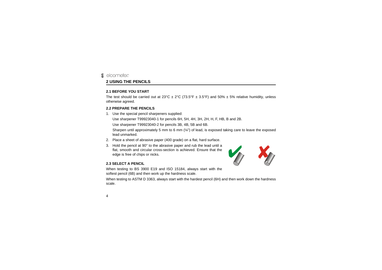#### <span id="page-5-0"></span>elcometer **en 2 USING THE PENCILS**

#### **2.1 BEFORE YOU START**

The test should be carried out at  $23^{\circ}C \pm 2^{\circ}C$  (73.5°F  $\pm$  3.5°F) and 50%  $\pm$  5% relative humidity, unless otherwise agreed.

#### **2.2 PREPARE THE PENCILS**

1. Use the special pencil sharpeners supplied:

Use sharpener T99923040-1 for pencils 6H, 5H, 4H, 3H, 2H, H, F, HB, B and 2B.

Use sharpener T99923040-2 for pencils 3B, 4B, 5B and 6B.

Sharpen until approximately 5 mm to 6 mm  $\left(\frac{1}{4}\right)$  of lead, is exposed taking care to leave the exposed lead unmarked.

- 2. Place a sheet of abrasive paper (400 grade) on a flat, hard surface.
- 3. Hold the pencil at 90° to the abrasive paper and rub the lead until a flat, smooth and circular cross-section is achieved. Ensure that the edge is free of chips or nicks.



### <span id="page-5-1"></span>**2.3 SELECT A PENCIL**

When testing to BS 3900 E19 and ISO 15184, always start with the softest pencil (6B) and then work up the hardness scale.

When testing to ASTM D 3363, always start with the hardest pencil (6H) and then work down the hardness scale.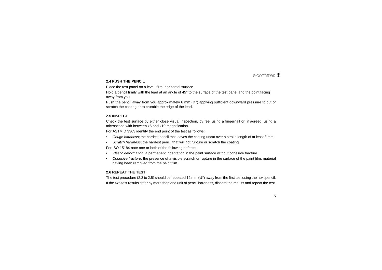### **2.4 PUSH THE PENCIL**

Place the test panel on a level, firm, horizontal surface.

Hold a pencil firmly with the lead at an angle of 45° to the surface of the test panel and the point facing away from you.

Push the pencil away from you approximately 6 mm (¼") applying sufficient downward pressure to cut or scratch the coating or to crumble the edge of the lead.

### <span id="page-6-0"></span>**2.5 INSPECT**

Check the test surface by either close visual inspection, by feel using a fingernail or, if agreed, using a microscope with between x6 and x10 magnification.

For ASTM D 3363 identify the end point of the test as follows:

- •*Gouge hardness*; the hardest pencil that leaves the coating uncut over a stroke length of at least 3 mm.
- •*Scratch hardness*; the hardest pencil that will not rupture or scratch the coating.

For ISO 15184 note one or both of the following defects:

- •*Plastic deformation*; a permanent indentation in the paint surface without cohesive fracture.
- • *Cohesive fracture*; the presence of a visible scratch or rupture in the surface of the paint film, material having been removed from the paint film.

#### **2.6 REPEAT THE TEST**

The test procedure ([2.3](#page-5-1) to [2.5](#page-6-0)) should be repeated 12 mm (½") away from the first test using the next pencil. If the two test results differ by more than one unit of pencil hardness, discard the results and repeat the test.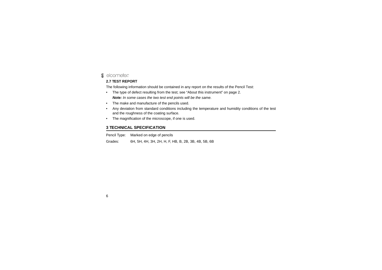#### elcometer **en**

### **2.7 TEST REPORT**

The following information should be contained in any report on the results of the Pencil Test:

- • The type of defect resulting from the test; see ["About this instrument" on page](#page-3-0) 2. *Note: In some cases the two test end points will be the same.*
- •The make and manufacture of the pencils used.
- • Any deviation from standard conditions including the temperature and humidity conditions of the test and the roughness of the coating surface.
- •The magnification of the microscope, if one is used.

## <span id="page-7-0"></span>**3 TECHNICAL SPECIFICATION**

Pencil Type: Marked on edge of pencils

Grades: 6H, 5H, 4H, 3H, 2H, H, F, HB, B, 2B, 3B, 4B, 5B, 6B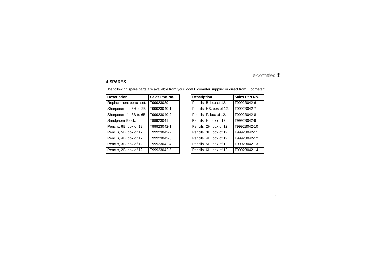# <span id="page-8-0"></span>**4 SPARES**

The following spare parts are available from your local Elcometer supplier or direct from Elcometer:

| <b>Description</b>       | Sales Part No. | <b>Description</b>      | <b>Sales Part No.</b> |
|--------------------------|----------------|-------------------------|-----------------------|
| Replacement pencil set:  | T99923039      | Pencils, B, box of 12:  | T99923042-6           |
| Sharpener, for 6H to 2B: | T99923040-1    | Pencils, HB, box of 12: | T99923042-7           |
| Sharpener, for 3B to 6B: | T99923040-2    | Pencils, F, box of 12:  | T99923042-8           |
| Sandpaper Block:         | T99923041      | Pencils, H, box of 12:  | T99923042-9           |
| Pencils, 6B, box of 12:  | T99923042-1    | Pencils, 2H, box of 12: | T99923042-10          |
| Pencils, 5B, box of 12:  | T99923042-2    | Pencils, 3H, box of 12: | T99923042-11          |
| Pencils, 4B, box of 12:  | T99923042-3    | Pencils, 4H, box of 12: | T99923042-12          |
| Pencils, 3B, box of 12:  | T99923042-4    | Pencils, 5H, box of 12: | T99923042-13          |
| Pencils, 2B, box of 12:  | T99923042-5    | Pencils, 6H, box of 12: | T99923042-14          |
|                          |                |                         |                       |

| <b>Description</b>      | Sales Part No. |  |
|-------------------------|----------------|--|
| Pencils, B, box of 12:  | T99923042-6    |  |
| Pencils, HB, box of 12: | T99923042-7    |  |
| Pencils, F, box of 12:  | T99923042-8    |  |
| Pencils, H, box of 12:  | T99923042-9    |  |
| Pencils, 2H, box of 12: | T99923042-10   |  |
| Pencils, 3H, box of 12: | T99923042-11   |  |
| Pencils, 4H, box of 12: | T99923042-12   |  |
| Pencils, 5H, box of 12: | T99923042-13   |  |
| Pencils, 6H, box of 12: | T99923042-14   |  |